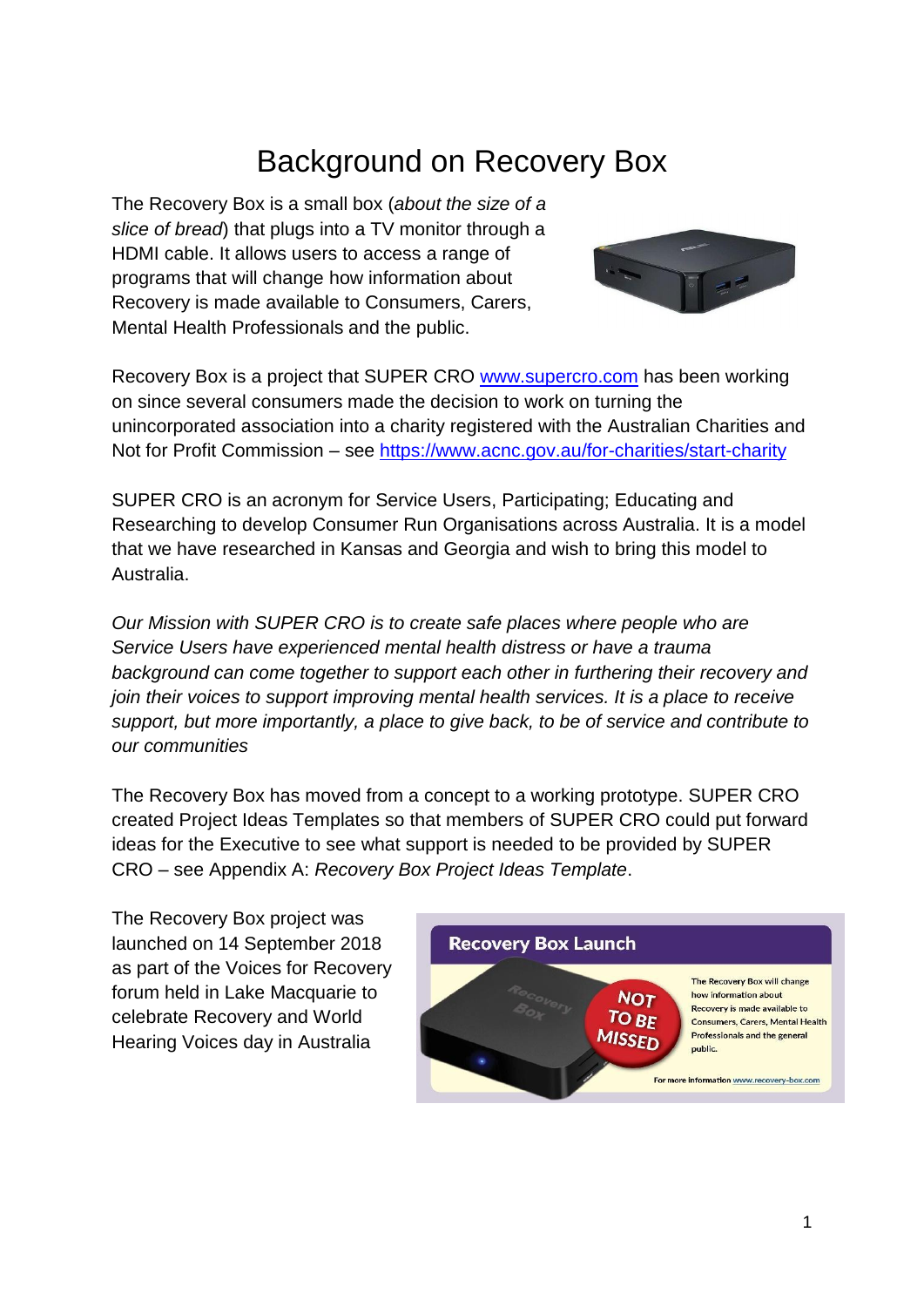# Background on Recovery Box

The Recovery Box is a small box (*about the size of a slice of bread*) that plugs into a TV monitor through a HDMI cable. It allows users to access a range of programs that will change how information about Recovery is made available to Consumers, Carers, Mental Health Professionals and the public.



Recovery Box is a project that SUPER CRO [www.supercro.com](http://www.supercro.com/) has been working on since several consumers made the decision to work on turning the unincorporated association into a charity registered with the Australian Charities and Not for Profit Commission – see<https://www.acnc.gov.au/for-charities/start-charity>

SUPER CRO is an acronym for Service Users, Participating; Educating and Researching to develop Consumer Run Organisations across Australia. It is a model that we have researched in Kansas and Georgia and wish to bring this model to Australia.

*Our Mission with SUPER CRO is to create safe places where people who are Service Users have experienced mental health distress or have a trauma background can come together to support each other in furthering their recovery and join their voices to support improving mental health services. It is a place to receive support, but more importantly, a place to give back, to be of service and contribute to our communities*

The Recovery Box has moved from a concept to a working prototype. SUPER CRO created Project Ideas Templates so that members of SUPER CRO could put forward ideas for the Executive to see what support is needed to be provided by SUPER CRO – see Appendix A: *Recovery Box Project Ideas Template*.

The Recovery Box project was launched on 14 September 2018 as part of the Voices for Recovery forum held in Lake Macquarie to celebrate Recovery and World Hearing Voices day in Australia

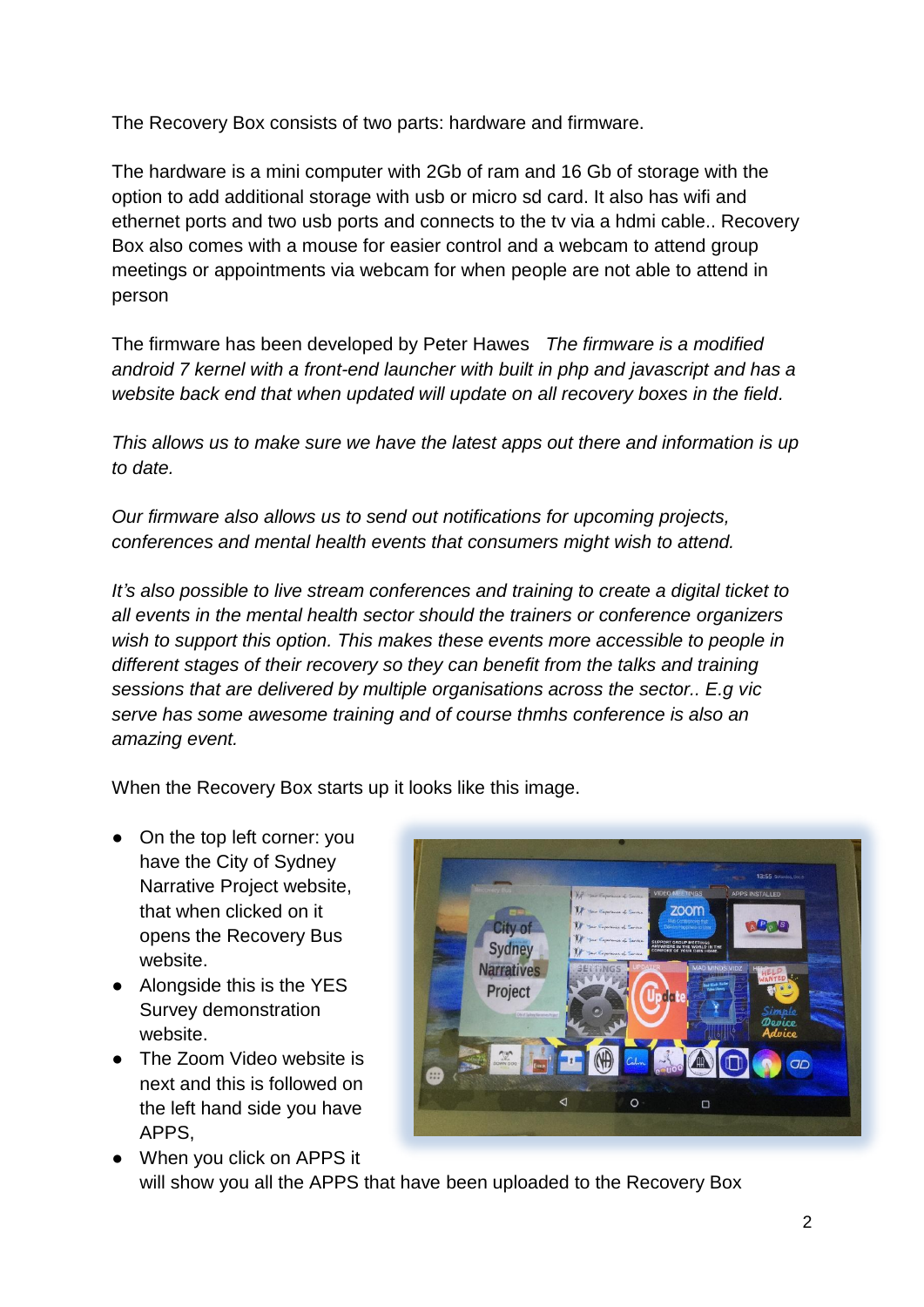The Recovery Box consists of two parts: hardware and firmware.

The hardware is a mini computer with 2Gb of ram and 16 Gb of storage with the option to add additional storage with usb or micro sd card. It also has wifi and ethernet ports and two usb ports and connects to the tv via a hdmi cable.. Recovery Box also comes with a mouse for easier control and a webcam to attend group meetings or appointments via webcam for when people are not able to attend in person

The firmware has been developed by Peter Hawes *The firmware is a modified android 7 kernel with a front-end launcher with built in php and javascript and has a website back end that when updated will update on all recovery boxes in the field.*

*This allows us to make sure we have the latest apps out there and information is up to date.*

*Our firmware also allows us to send out notifications for upcoming projects, conferences and mental health events that consumers might wish to attend.*

*It's also possible to live stream conferences and training to create a digital ticket to all events in the mental health sector should the trainers or conference organizers wish to support this option. This makes these events more accessible to people in different stages of their recovery so they can benefit from the talks and training sessions that are delivered by multiple organisations across the sector.. E.g vic serve has some awesome training and of course thmhs conference is also an amazing event.*

When the Recovery Box starts up it looks like this image.

- On the top left corner: you have the City of Sydney Narrative Project website, that when clicked on it opens the Recovery Bus website.
- Alongside this is the YES Survey demonstration website.
- The Zoom Video website is next and this is followed on the left hand side you have APPS,



● When you click on APPS it will show you all the APPS that have been uploaded to the Recovery Box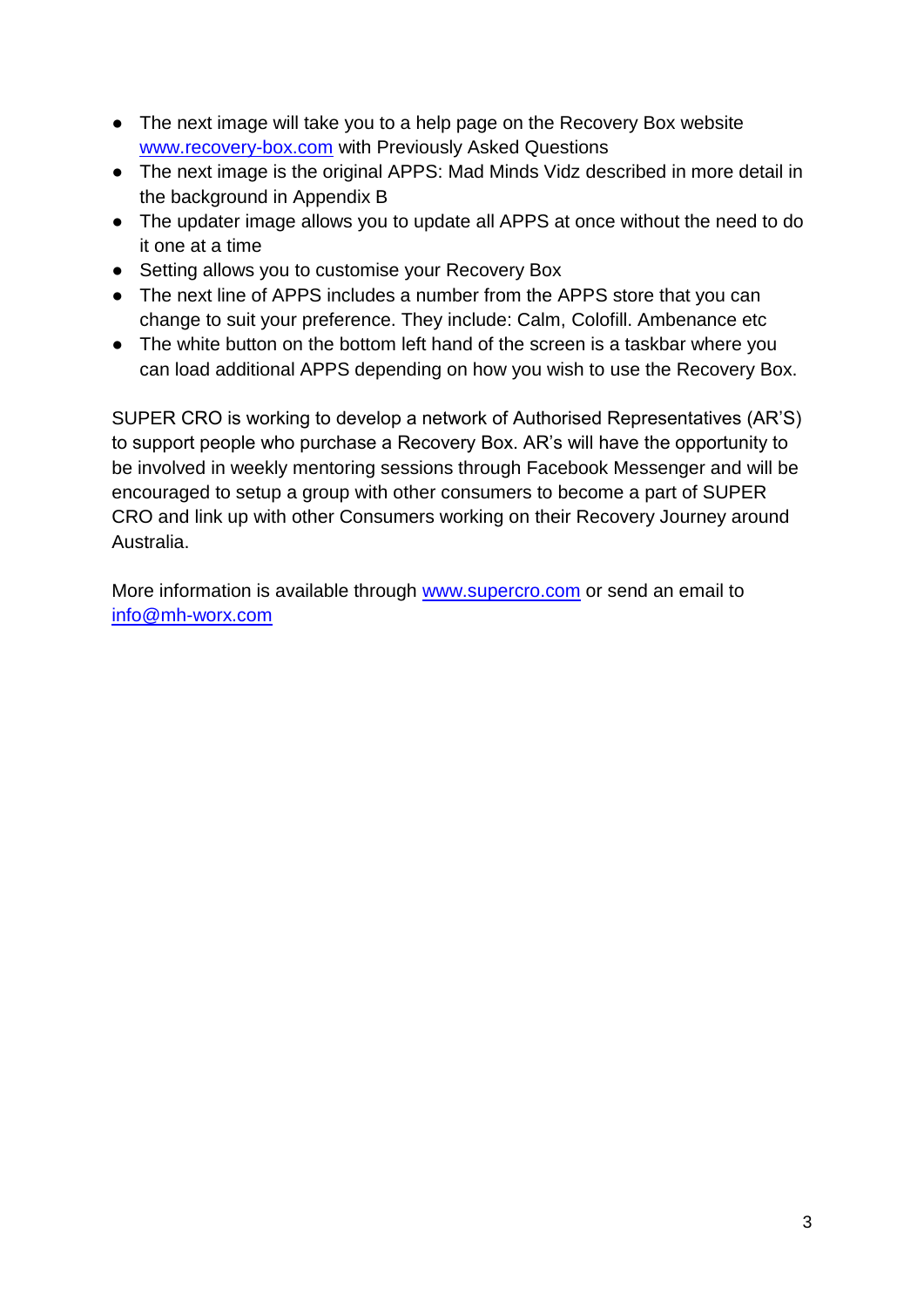- The next image will take you to a help page on the Recovery Box website [www.recovery-box.com](http://www.recovery-box.com/) with Previously Asked Questions
- The next image is the original APPS: Mad Minds Vidz described in more detail in the background in Appendix B
- The updater image allows you to update all APPS at once without the need to do it one at a time
- Setting allows you to customise your Recovery Box
- The next line of APPS includes a number from the APPS store that you can change to suit your preference. They include: Calm, Colofill. Ambenance etc
- The white button on the bottom left hand of the screen is a taskbar where you can load additional APPS depending on how you wish to use the Recovery Box.

SUPER CRO is working to develop a network of Authorised Representatives (AR'S) to support people who purchase a Recovery Box. AR's will have the opportunity to be involved in weekly mentoring sessions through Facebook Messenger and will be encouraged to setup a group with other consumers to become a part of SUPER CRO and link up with other Consumers working on their Recovery Journey around Australia.

More information is available through [www.supercro.com](http://www.supercro.com/) or send an email to [info@mh-worx.com](mailto:info@mh-worx.com)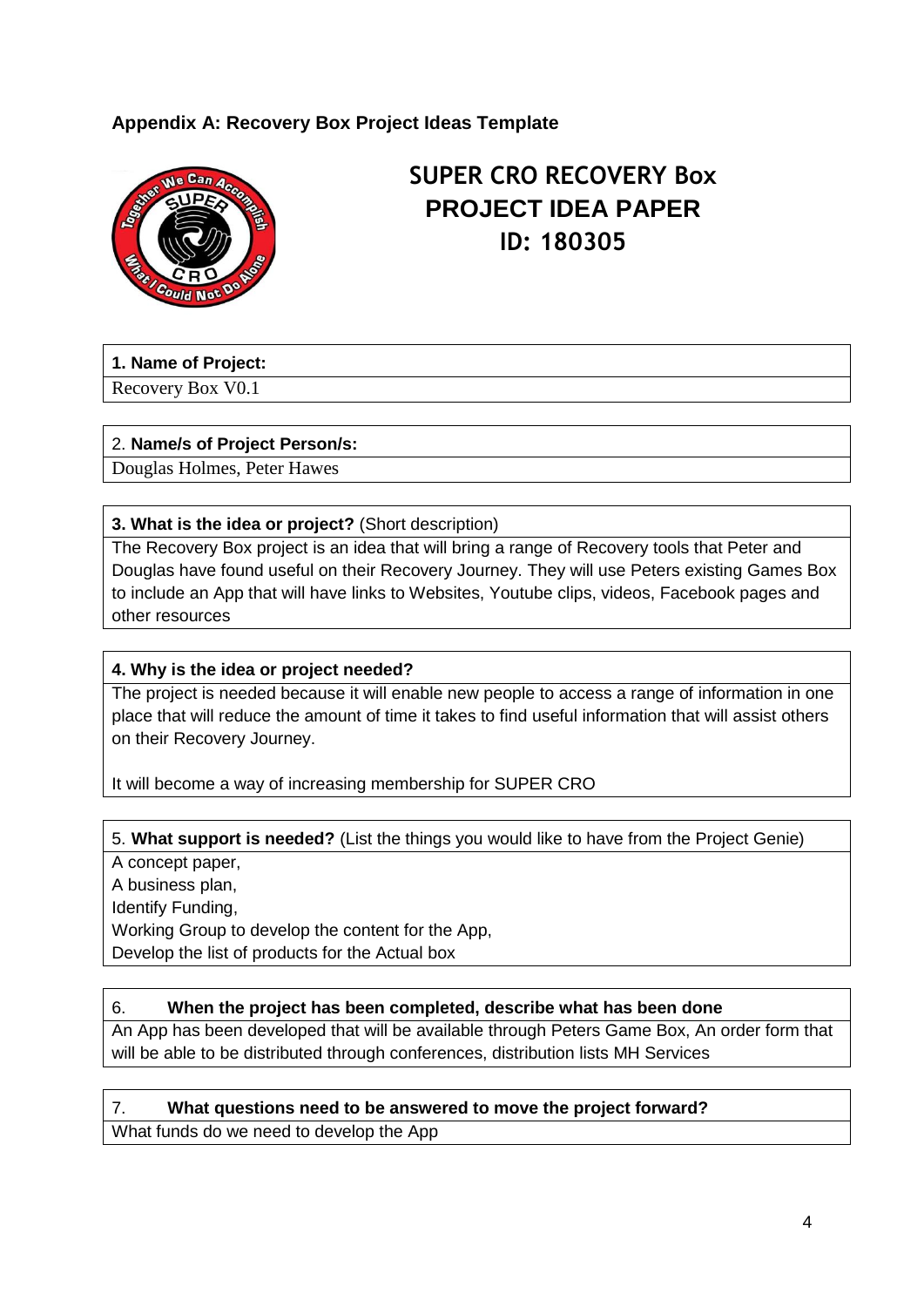## **Appendix A: Recovery Box Project Ideas Template**



## **SUPER CRO RECOVERY Box PROJECT IDEA PAPER ID: 180305**

#### **1. Name of Project:**

Recovery Box V0.1

#### 2. **Name/s of Project Person/s:**

Douglas Holmes, Peter Hawes

#### **3. What is the idea or project?** (Short description)

The Recovery Box project is an idea that will bring a range of Recovery tools that Peter and Douglas have found useful on their Recovery Journey. They will use Peters existing Games Box to include an App that will have links to Websites, Youtube clips, videos, Facebook pages and other resources

#### **4. Why is the idea or project needed?**

The project is needed because it will enable new people to access a range of information in one place that will reduce the amount of time it takes to find useful information that will assist others on their Recovery Journey.

It will become a way of increasing membership for SUPER CRO

#### 5. **What support is needed?** (List the things you would like to have from the Project Genie)

A concept paper, A business plan, Identify Funding, Working Group to develop the content for the App, Develop the list of products for the Actual box

#### 6. **When the project has been completed, describe what has been done**

An App has been developed that will be available through Peters Game Box, An order form that will be able to be distributed through conferences, distribution lists MH Services

#### 7. **What questions need to be answered to move the project forward?**

What funds do we need to develop the App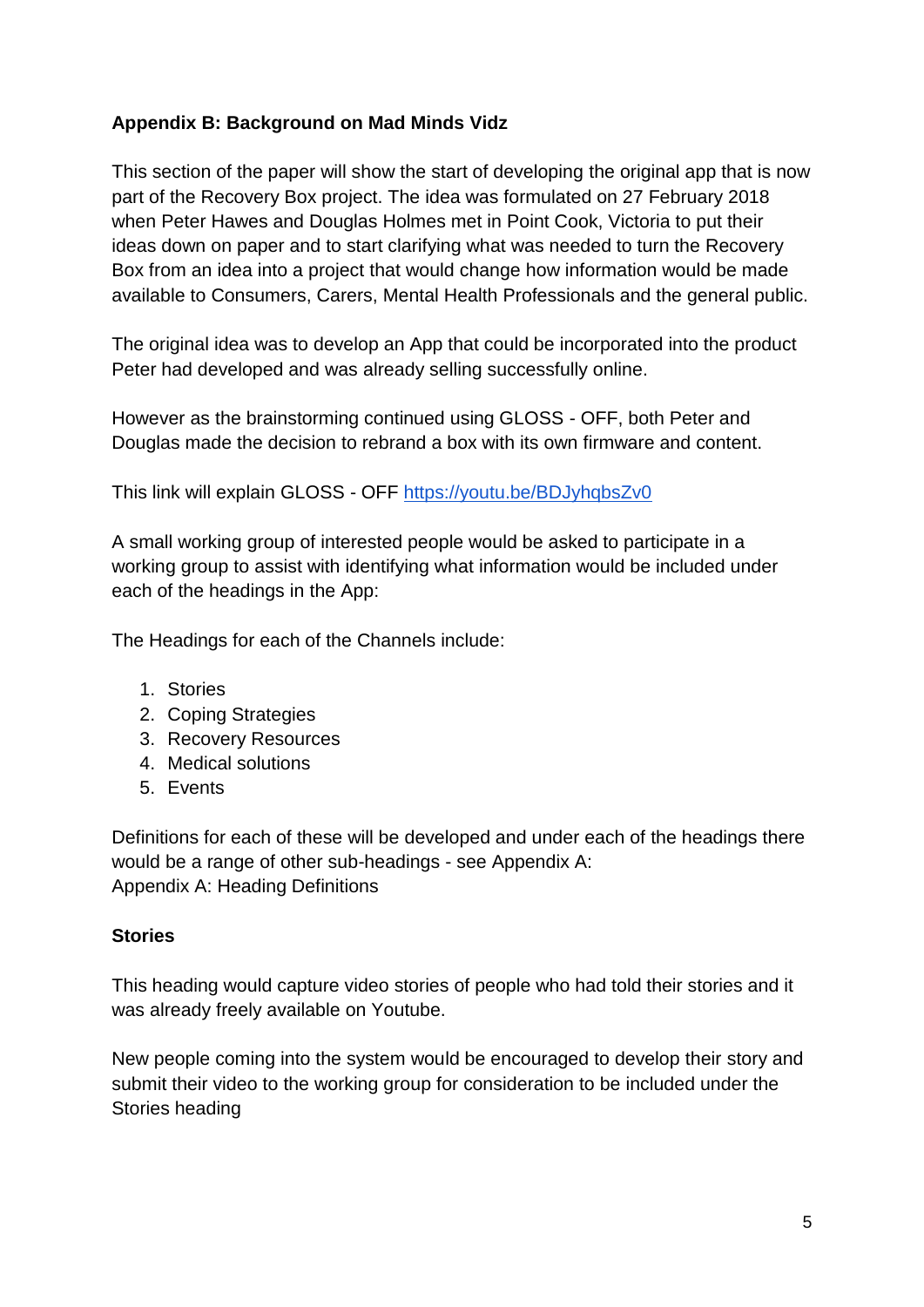## **Appendix B: Background on Mad Minds Vidz**

This section of the paper will show the start of developing the original app that is now part of the Recovery Box project. The idea was formulated on 27 February 2018 when Peter Hawes and Douglas Holmes met in Point Cook, Victoria to put their ideas down on paper and to start clarifying what was needed to turn the Recovery Box from an idea into a project that would change how information would be made available to Consumers, Carers, Mental Health Professionals and the general public.

The original idea was to develop an App that could be incorporated into the product Peter had developed and was already selling successfully online.

However as the brainstorming continued using GLOSS - OFF, both Peter and Douglas made the decision to rebrand a box with its own firmware and content.

This link will explain GLOSS - OFF<https://youtu.be/BDJyhqbsZv0>

A small working group of interested people would be asked to participate in a working group to assist with identifying what information would be included under each of the headings in the App:

The Headings for each of the Channels include:

- 1. Stories
- 2. Coping Strategies
- 3. Recovery Resources
- 4. Medical solutions
- 5. Events

Definitions for each of these will be developed and under each of the headings there would be a range of other sub-headings - see Appendix A: Appendix A: Heading Definitions

#### **Stories**

This heading would capture video stories of people who had told their stories and it was already freely available on Youtube.

New people coming into the system would be encouraged to develop their story and submit their video to the working group for consideration to be included under the Stories heading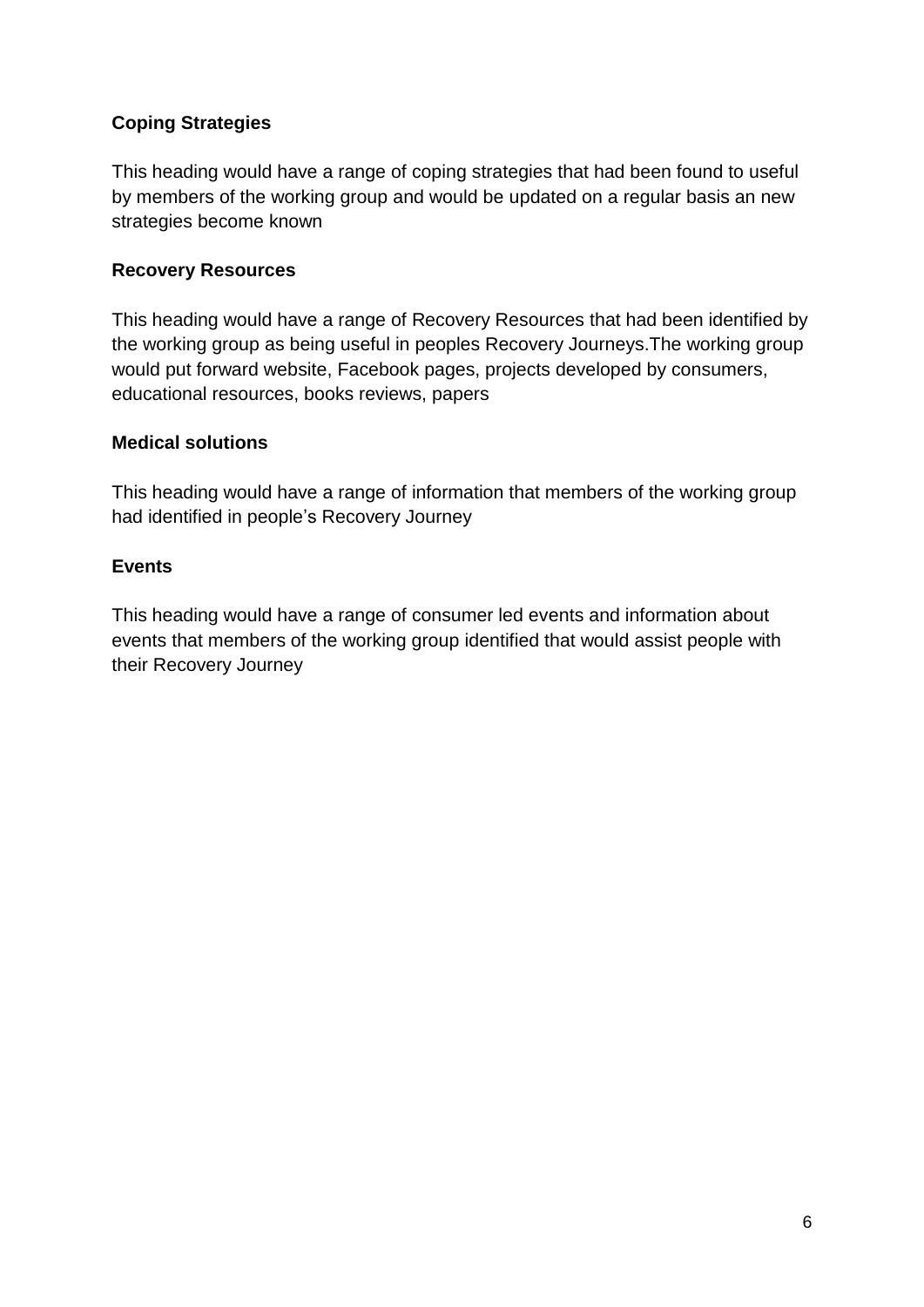## **Coping Strategies**

This heading would have a range of coping strategies that had been found to useful by members of the working group and would be updated on a regular basis an new strategies become known

### **Recovery Resources**

This heading would have a range of Recovery Resources that had been identified by the working group as being useful in peoples Recovery Journeys.The working group would put forward website, Facebook pages, projects developed by consumers, educational resources, books reviews, papers

### **Medical solutions**

This heading would have a range of information that members of the working group had identified in people's Recovery Journey

#### **Events**

This heading would have a range of consumer led events and information about events that members of the working group identified that would assist people with their Recovery Journey